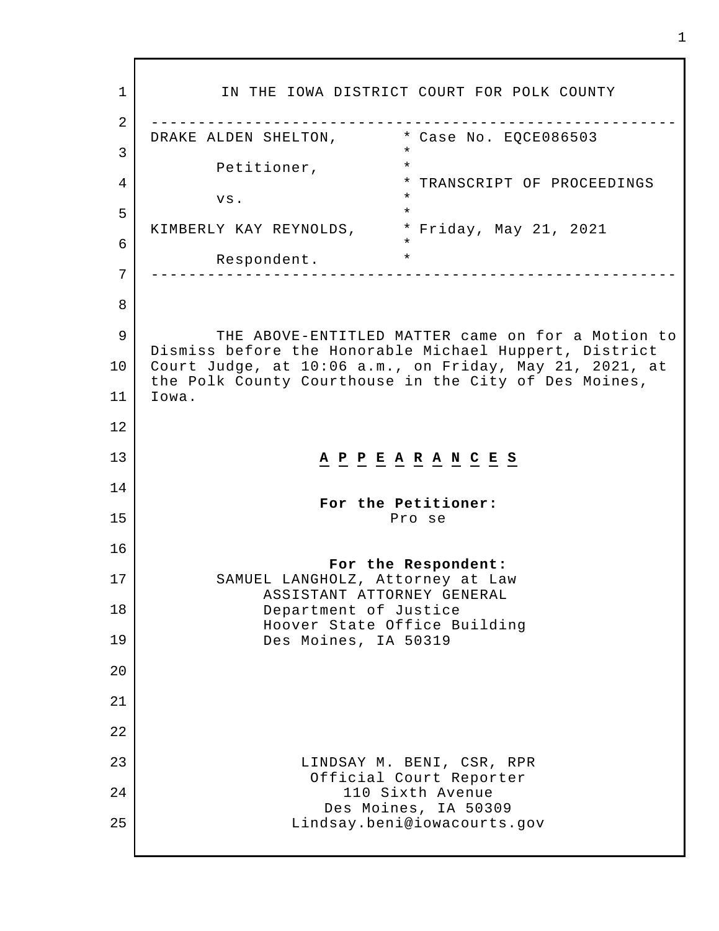1 2 3 4 5 6 7 8 9 10 11 12 13 14 15 16 17 18 19 20 21 22 23 24 25 IN THE IOWA DISTRICT COURT FOR POLK COUNTY -------------------------------------------------------- DRAKE ALDEN SHELTON, Petitioner, vs. KIMBERLY KAY REYNOLDS, \* Friday, May 21, 2021 Respondent. \* Case No. EQCE086503 \* \* \* TRANSCRIPT OF PROCEEDINGS \* \* \* \* -------------------------------------------------------- THE ABOVE-ENTITLED MATTER came on for a Motion to Dismiss before the Honorable Michael Huppert, District Court Judge, at 10:06 a.m., on Friday, May 21, 2021, at the Polk County Courthouse in the City of Des Moines, Iowa. **A P P E A R A N C E S For the Petitioner:** Pro se **For the Respondent:** SAMUEL LANGHOLZ, Attorney at Law ASSISTANT ATTORNEY GENERAL Department of Justice Hoover State Office Building Des Moines, IA 50319 LINDSAY M. BENI, CSR, RPR Official Court Reporter 110 Sixth Avenue Des Moines, IA 50309 Lindsay.beni@iowacourts.gov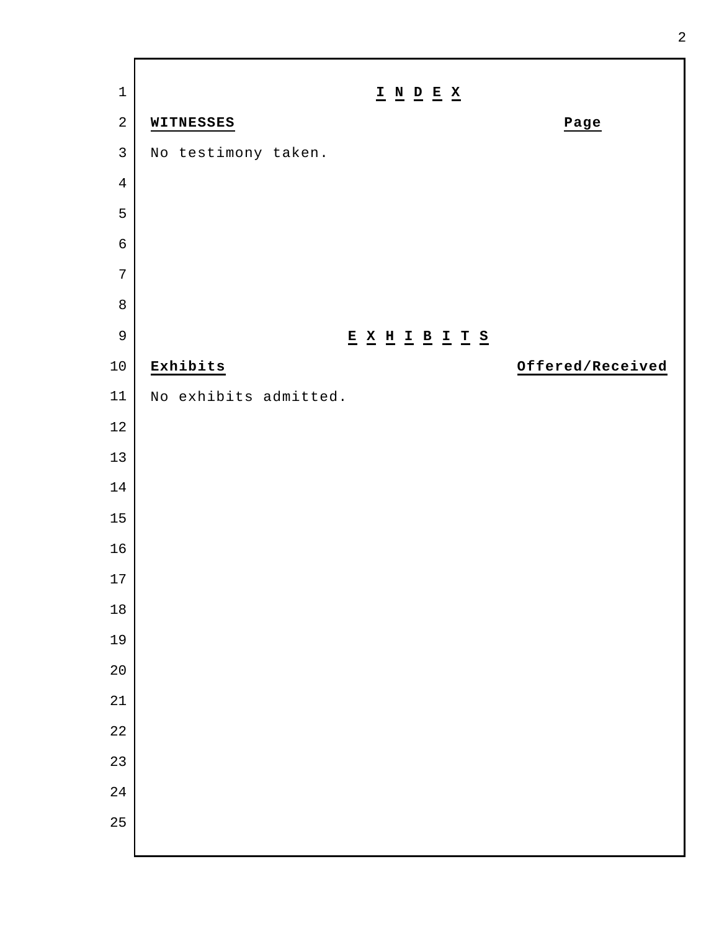| $\mathbf 1$    | $\underline{\textbf{I}} \underline{\textbf{N}} \underline{\textbf{D}} \underline{\textbf{E}} \underline{\textbf{X}}$ |                  |
|----------------|----------------------------------------------------------------------------------------------------------------------|------------------|
| $\overline{2}$ | WITNESSES                                                                                                            | Page             |
| $\mathsf{3}$   | No testimony taken.                                                                                                  |                  |
| $\overline{4}$ |                                                                                                                      |                  |
| 5              |                                                                                                                      |                  |
| $\epsilon$     |                                                                                                                      |                  |
| $\overline{7}$ |                                                                                                                      |                  |
| $\, 8$         |                                                                                                                      |                  |
| $\mathsf 9$    | $\underline{E} \underline{X} \underline{H} \underline{I} \underline{B} \underline{I} \underline{T} \underline{S}$    |                  |
| $10\,$         | Exhibits                                                                                                             | Offered/Received |
| 11             | No exhibits admitted.                                                                                                |                  |
| $12\,$         |                                                                                                                      |                  |
| 13             |                                                                                                                      |                  |
| $14$           |                                                                                                                      |                  |
| 15             |                                                                                                                      |                  |
| 16             |                                                                                                                      |                  |
| $17\,$         |                                                                                                                      |                  |
| $18\,$         |                                                                                                                      |                  |
| 19             |                                                                                                                      |                  |
| 20             |                                                                                                                      |                  |
| 21             |                                                                                                                      |                  |
| 22             |                                                                                                                      |                  |
| 23             |                                                                                                                      |                  |
| 24             |                                                                                                                      |                  |
| 25             |                                                                                                                      |                  |
|                |                                                                                                                      |                  |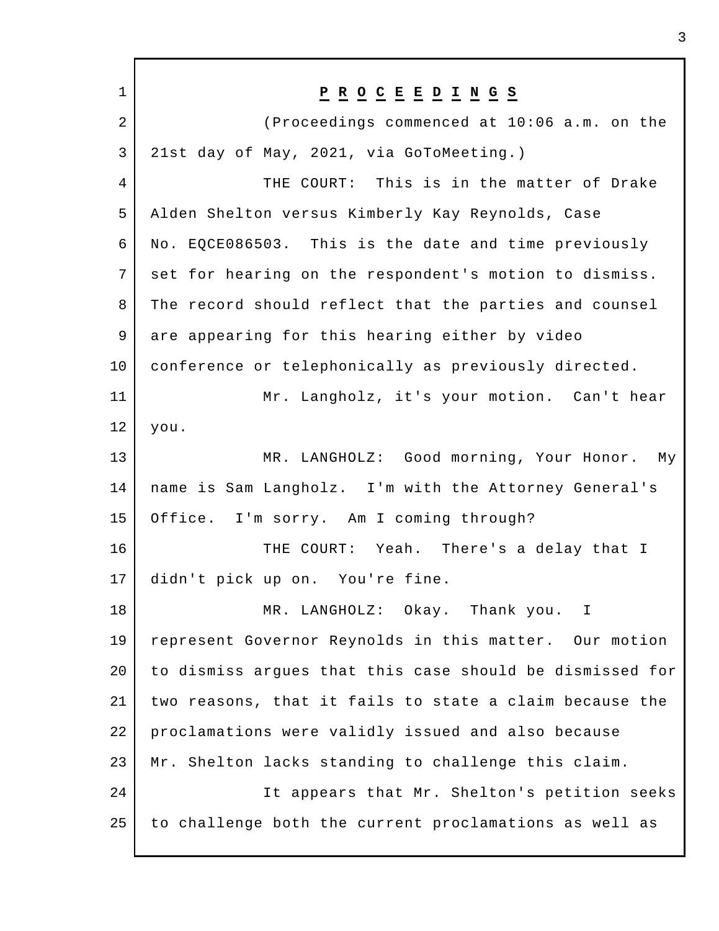| $\mathbf{1}$   | $\underline{P} \underline{R} \underline{O} \underline{C} \underline{E} \underline{E} \underline{D} \underline{I} \underline{N} \underline{G} \underline{S}$ |
|----------------|-------------------------------------------------------------------------------------------------------------------------------------------------------------|
| $\overline{2}$ | (Proceedings commenced at 10:06 a.m. on the                                                                                                                 |
| 3              | 21st day of May, 2021, via GoToMeeting.)                                                                                                                    |
| 4              | THE COURT: This is in the matter of Drake                                                                                                                   |
| 5              | Alden Shelton versus Kimberly Kay Reynolds, Case                                                                                                            |
| 6              | No. EQCE086503. This is the date and time previously                                                                                                        |
| 7              | set for hearing on the respondent's motion to dismiss.                                                                                                      |
| 8              | The record should reflect that the parties and counsel                                                                                                      |
| 9              | are appearing for this hearing either by video                                                                                                              |
| 10             | conference or telephonically as previously directed.                                                                                                        |
| 11             | Mr. Langholz, it's your motion. Can't hear                                                                                                                  |
| 12             | you.                                                                                                                                                        |
| 13             | MR. LANGHOLZ: Good morning, Your Honor. My                                                                                                                  |
| 14             | name is Sam Langholz. I'm with the Attorney General's                                                                                                       |
| 15             | Office. I'm sorry. Am I coming through?                                                                                                                     |
| 16             | THE COURT: Yeah. There's a delay that I                                                                                                                     |
| 17             | didn't pick up on. You're fine.                                                                                                                             |
| 18             | MR. LANGHOLZ: Okay. Thank you. I                                                                                                                            |
| 19             | represent Governor Reynolds in this matter. Our motion                                                                                                      |
| 20             | to dismiss argues that this case should be dismissed for                                                                                                    |
| 21             | two reasons, that it fails to state a claim because the                                                                                                     |
| 22             | proclamations were validly issued and also because                                                                                                          |
| 23             | Mr. Shelton lacks standing to challenge this claim.                                                                                                         |
| 24             | It appears that Mr. Shelton's petition seeks                                                                                                                |
| 25             | to challenge both the current proclamations as well as                                                                                                      |
|                |                                                                                                                                                             |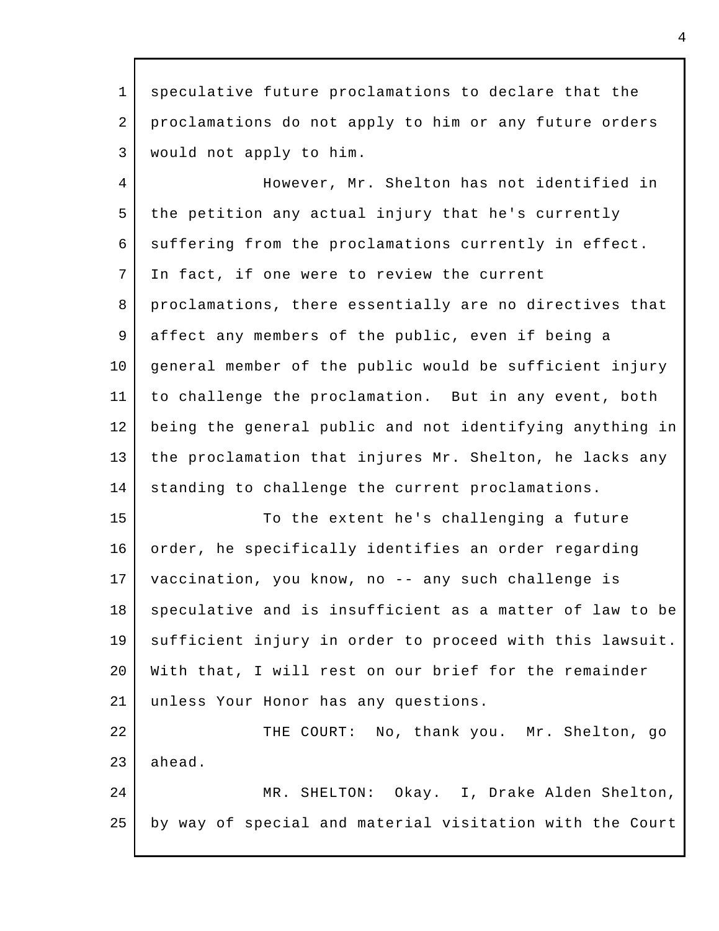1 2 3 speculative future proclamations to declare that the proclamations do not apply to him or any future orders would not apply to him.

4 5 6 7 8 9 10 11 12 13 14 However, Mr. Shelton has not identified in the petition any actual injury that he's currently suffering from the proclamations currently in effect. In fact, if one were to review the current proclamations, there essentially are no directives that affect any members of the public, even if being a general member of the public would be sufficient injury to challenge the proclamation. But in any event, both being the general public and not identifying anything in the proclamation that injures Mr. Shelton, he lacks any standing to challenge the current proclamations.

15 16 17 18 19 20 21 To the extent he's challenging a future order, he specifically identifies an order regarding vaccination, you know, no -- any such challenge is speculative and is insufficient as a matter of law to be sufficient injury in order to proceed with this lawsuit. With that, I will rest on our brief for the remainder unless Your Honor has any questions.

22 23 THE COURT: No, thank you. Mr. Shelton, go ahead.

24 25 MR. SHELTON: Okay. I, Drake Alden Shelton, by way of special and material visitation with the Court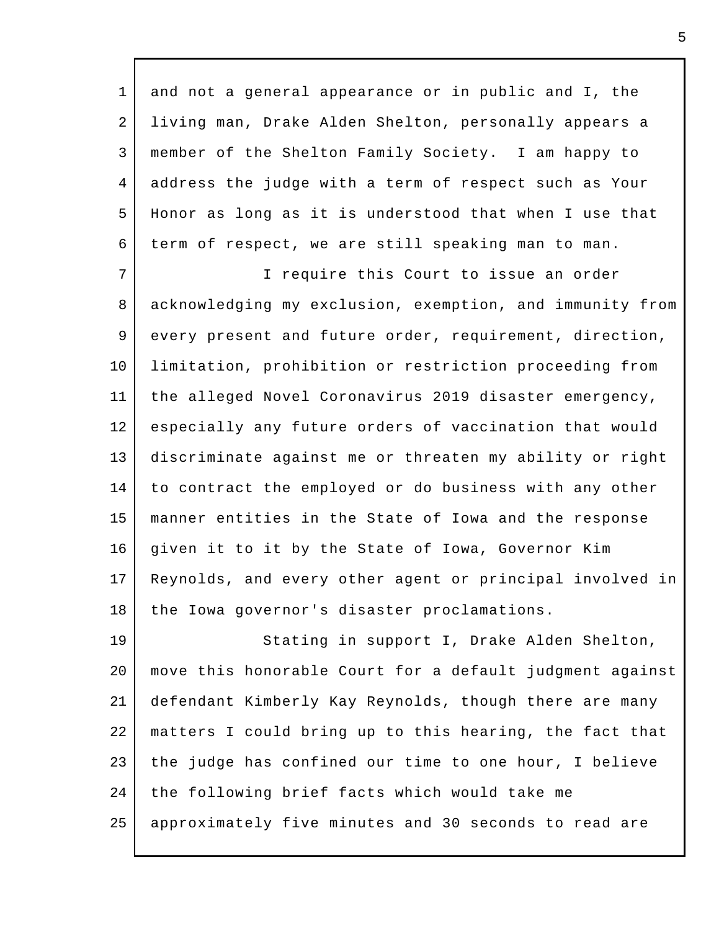1 2 3 4 5 6 and not a general appearance or in public and I, the living man, Drake Alden Shelton, personally appears a member of the Shelton Family Society. I am happy to address the judge with a term of respect such as Your Honor as long as it is understood that when I use that term of respect, we are still speaking man to man.

7 8 9 10 11 12 13 14 15 16 17 18 I require this Court to issue an order acknowledging my exclusion, exemption, and immunity from every present and future order, requirement, direction, limitation, prohibition or restriction proceeding from the alleged Novel Coronavirus 2019 disaster emergency, especially any future orders of vaccination that would discriminate against me or threaten my ability or right to contract the employed or do business with any other manner entities in the State of Iowa and the response given it to it by the State of Iowa, Governor Kim Reynolds, and every other agent or principal involved in the Iowa governor's disaster proclamations.

19 20 21 22 23 24 25 Stating in support I, Drake Alden Shelton, move this honorable Court for a default judgment against defendant Kimberly Kay Reynolds, though there are many matters I could bring up to this hearing, the fact that the judge has confined our time to one hour, I believe the following brief facts which would take me approximately five minutes and 30 seconds to read are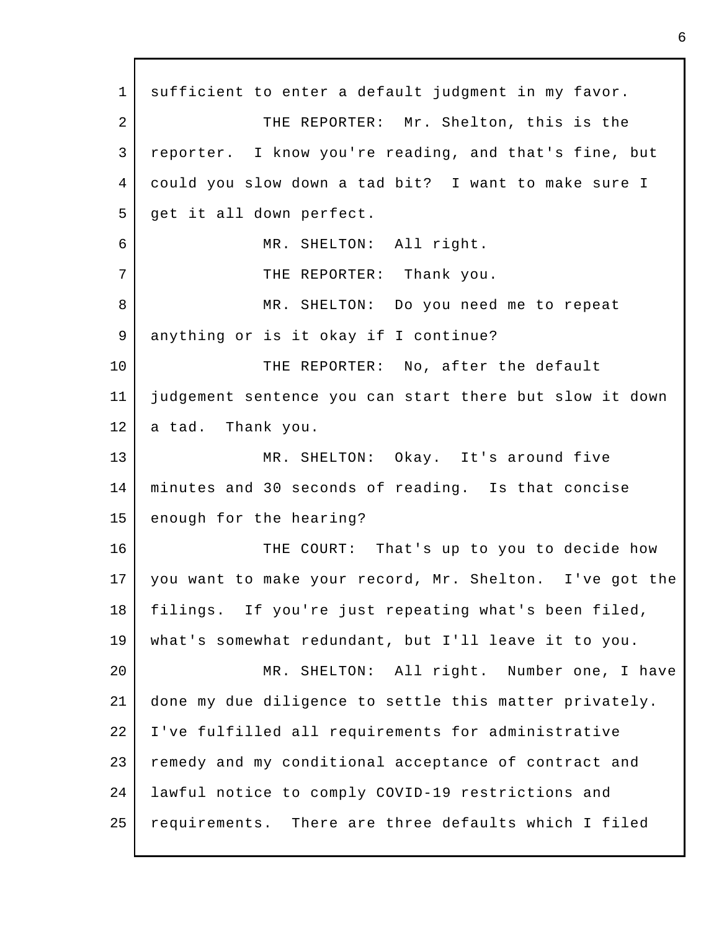1 2 3 4 5 6 7 8 9 10 11 12 13 14 15 16 17 18 19  $2.0$ 21 22 23 24 25 sufficient to enter a default judgment in my favor. THE REPORTER: Mr. Shelton, this is the reporter. I know you're reading, and that's fine, but could you slow down a tad bit? I want to make sure I get it all down perfect. MR. SHELTON: All right. THE REPORTER: Thank you. MR. SHELTON: Do you need me to repeat anything or is it okay if I continue? THE REPORTER: No, after the default judgement sentence you can start there but slow it down a tad. Thank you. MR. SHELTON: Okay. It's around five minutes and 30 seconds of reading. Is that concise enough for the hearing? THE COURT: That's up to you to decide how you want to make your record, Mr. Shelton. I've got the filings. If you're just repeating what's been filed, what's somewhat redundant, but I'll leave it to you. MR. SHELTON: All right. Number one, I have done my due diligence to settle this matter privately. I've fulfilled all requirements for administrative remedy and my conditional acceptance of contract and lawful notice to comply COVID-19 restrictions and requirements. There are three defaults which I filed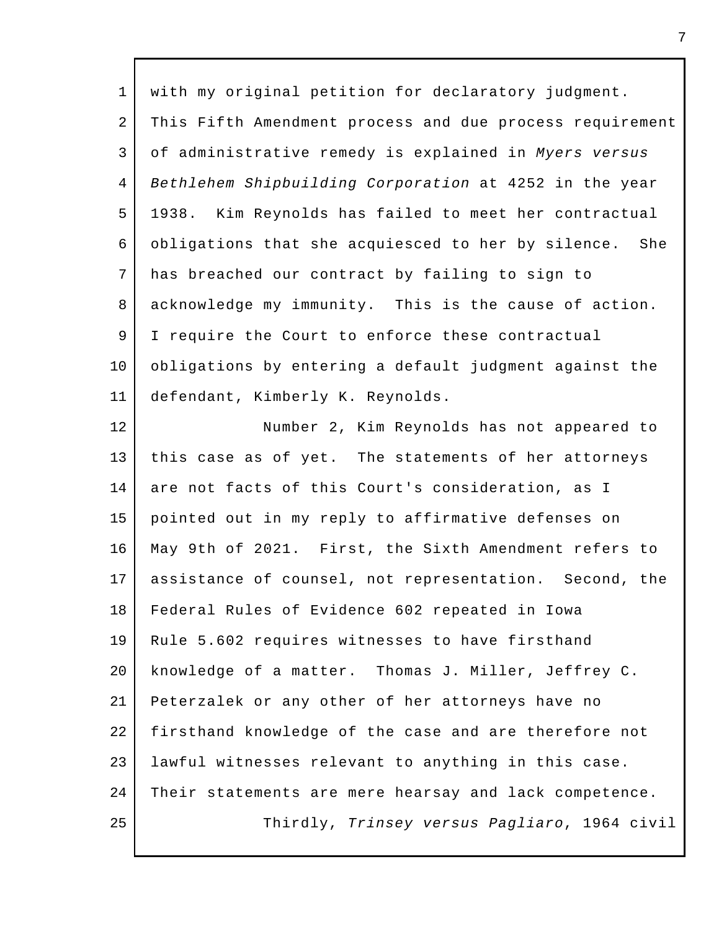1 2 3 4 5 6 7 8 9 10 11 with my original petition for declaratory judgment. This Fifth Amendment process and due process requirement of administrative remedy is explained in *Myers versus Bethlehem Shipbuilding Corporation* at 4252 in the year 1938. Kim Reynolds has failed to meet her contractual obligations that she acquiesced to her by silence. She has breached our contract by failing to sign to acknowledge my immunity. This is the cause of action. I require the Court to enforce these contractual obligations by entering a default judgment against the defendant, Kimberly K. Reynolds.

12 13 14 15 16 17 18 19 20 21 22 23 24 25 Number 2, Kim Reynolds has not appeared to this case as of yet. The statements of her attorneys are not facts of this Court's consideration, as I pointed out in my reply to affirmative defenses on May 9th of 2021. First, the Sixth Amendment refers to assistance of counsel, not representation. Second, the Federal Rules of Evidence 602 repeated in Iowa Rule 5.602 requires witnesses to have firsthand knowledge of a matter. Thomas J. Miller, Jeffrey C. Peterzalek or any other of her attorneys have no firsthand knowledge of the case and are therefore not lawful witnesses relevant to anything in this case. Their statements are mere hearsay and lack competence. Thirdly, *Trinsey versus Pagliaro*, 1964 civil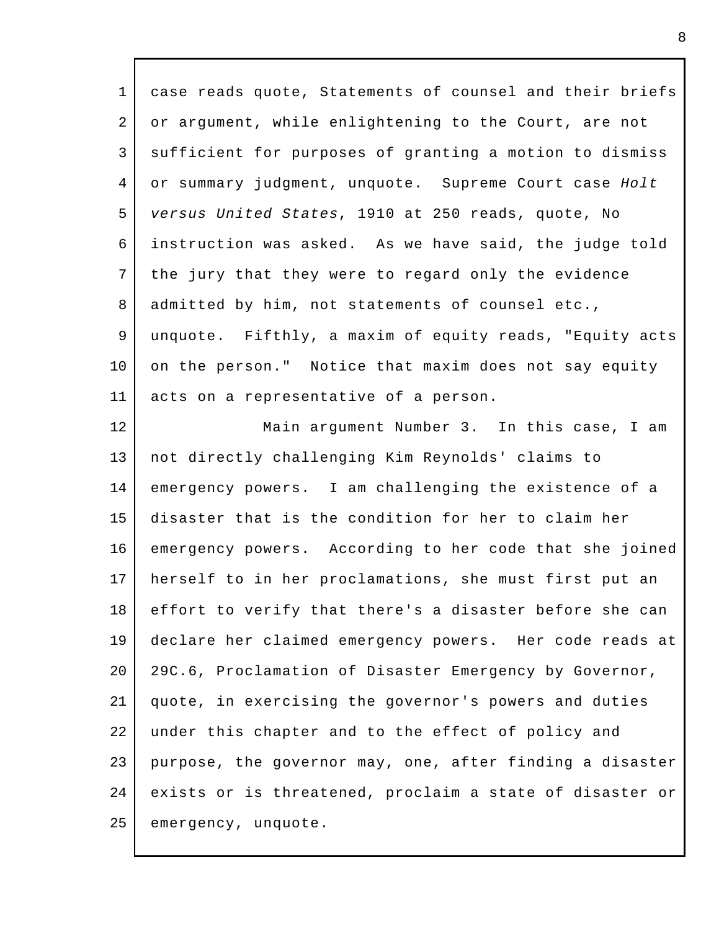1 2 3 4 5 6 7 8 9 10 11 12 case reads quote, Statements of counsel and their briefs or argument, while enlightening to the Court, are not sufficient for purposes of granting a motion to dismiss or summary judgment, unquote. Supreme Court case *Holt versus United States*, 1910 at 250 reads, quote, No instruction was asked. As we have said, the judge told the jury that they were to regard only the evidence admitted by him, not statements of counsel etc., unquote. Fifthly, a maxim of equity reads, "Equity acts on the person." Notice that maxim does not say equity acts on a representative of a person. Main argument Number 3. In this case, I am

13 14 15 16 17 18 19 20 21 22 23 24 25 not directly challenging Kim Reynolds' claims to emergency powers. I am challenging the existence of a disaster that is the condition for her to claim her emergency powers. According to her code that she joined herself to in her proclamations, she must first put an effort to verify that there's a disaster before she can declare her claimed emergency powers. Her code reads at 29C.6, Proclamation of Disaster Emergency by Governor, quote, in exercising the governor's powers and duties under this chapter and to the effect of policy and purpose, the governor may, one, after finding a disaster exists or is threatened, proclaim a state of disaster or emergency, unquote.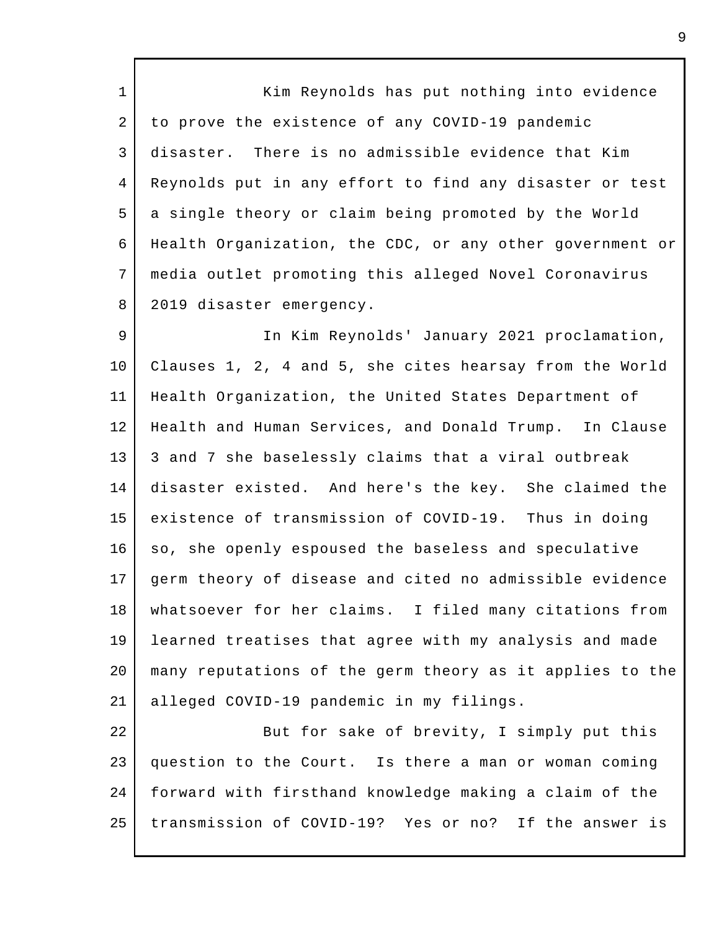1 2 3 4 5 6 7 8 Kim Reynolds has put nothing into evidence to prove the existence of any COVID-19 pandemic disaster. There is no admissible evidence that Kim Reynolds put in any effort to find any disaster or test a single theory or claim being promoted by the World Health Organization, the CDC, or any other government or media outlet promoting this alleged Novel Coronavirus 2019 disaster emergency.

9 10 11 12 13 14 15 16 17 18 19 20 21 In Kim Reynolds' January 2021 proclamation, Clauses 1, 2, 4 and 5, she cites hearsay from the World Health Organization, the United States Department of Health and Human Services, and Donald Trump. In Clause 3 and 7 she baselessly claims that a viral outbreak disaster existed. And here's the key. She claimed the existence of transmission of COVID-19. Thus in doing so, she openly espoused the baseless and speculative germ theory of disease and cited no admissible evidence whatsoever for her claims. I filed many citations from learned treatises that agree with my analysis and made many reputations of the germ theory as it applies to the alleged COVID-19 pandemic in my filings.

22 23 24 25 But for sake of brevity, I simply put this question to the Court. Is there a man or woman coming forward with firsthand knowledge making a claim of the transmission of COVID-19? Yes or no? If the answer is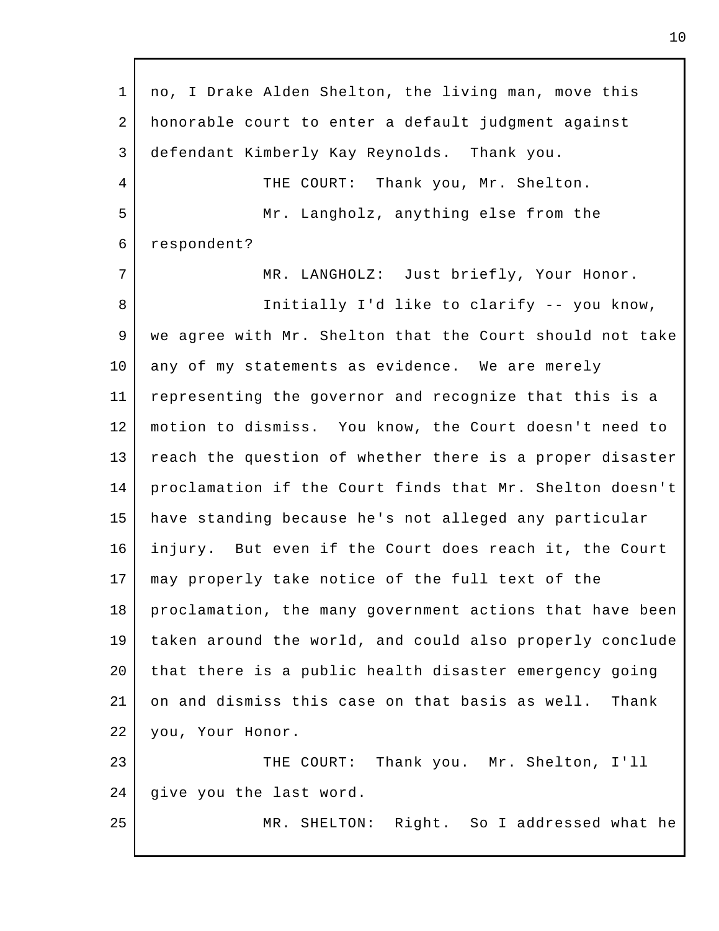| $\mathbf 1$ | no, I Drake Alden Shelton, the living man, move this     |  |  |
|-------------|----------------------------------------------------------|--|--|
| 2           | honorable court to enter a default judgment against      |  |  |
| 3           | defendant Kimberly Kay Reynolds. Thank you.              |  |  |
| 4           | THE COURT: Thank you, Mr. Shelton.                       |  |  |
| 5           | Mr. Langholz, anything else from the                     |  |  |
| 6           | respondent?                                              |  |  |
| 7           | MR. LANGHOLZ: Just briefly, Your Honor.                  |  |  |
| 8           | Initially I'd like to clarify -- you know,               |  |  |
| 9           | we agree with Mr. Shelton that the Court should not take |  |  |
| 10          | any of my statements as evidence. We are merely          |  |  |
| 11          | representing the governor and recognize that this is a   |  |  |
| 12          | motion to dismiss. You know, the Court doesn't need to   |  |  |
| 13          | reach the question of whether there is a proper disaster |  |  |
| 14          | proclamation if the Court finds that Mr. Shelton doesn't |  |  |
| 15          | have standing because he's not alleged any particular    |  |  |
| 16          | injury. But even if the Court does reach it, the Court   |  |  |
| 17          | may properly take notice of the full text of the         |  |  |
| 18          | proclamation, the many government actions that have been |  |  |
| 19          | taken around the world, and could also properly conclude |  |  |
| 20          | that there is a public health disaster emergency going   |  |  |
| 21          | on and dismiss this case on that basis as well.<br>Thank |  |  |
| 22          | you, Your Honor.                                         |  |  |
| 23          | THE COURT: Thank you. Mr. Shelton, I'll                  |  |  |
| 24          | give you the last word.                                  |  |  |
| 25          | MR. SHELTON: Right. So I addressed what he               |  |  |
|             |                                                          |  |  |

 $\mathsf{l}$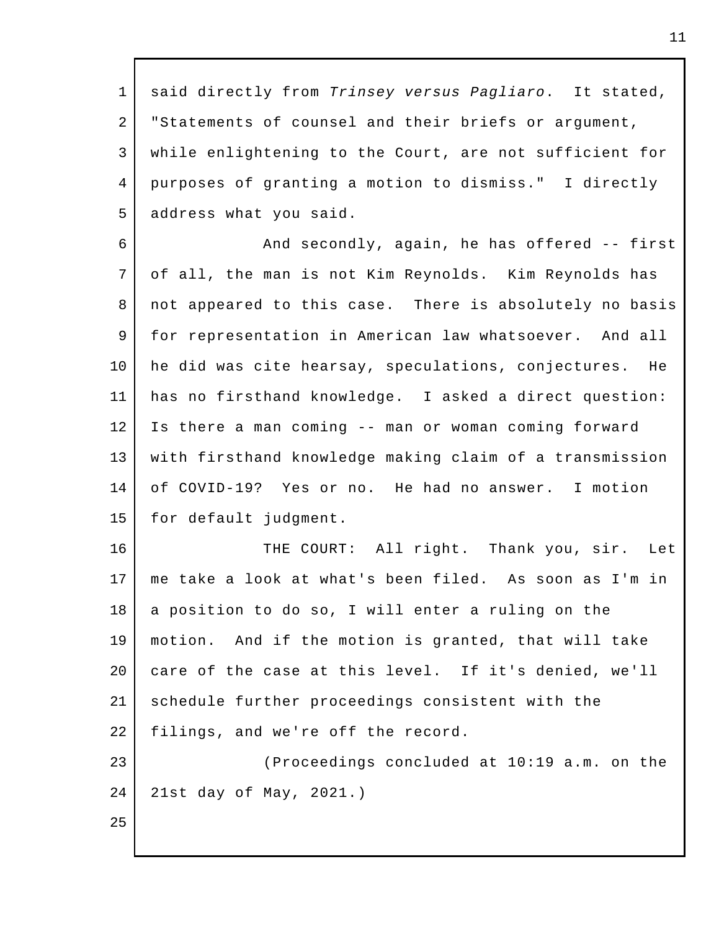1 2 3 4 5 said directly from *Trinsey versus Pagliaro*. It stated, "Statements of counsel and their briefs or argument, while enlightening to the Court, are not sufficient for purposes of granting a motion to dismiss." I directly address what you said.

6 7 8 9 10 11 12 13 14 15 And secondly, again, he has offered -- first of all, the man is not Kim Reynolds. Kim Reynolds has not appeared to this case. There is absolutely no basis for representation in American law whatsoever. And all he did was cite hearsay, speculations, conjectures. He has no firsthand knowledge. I asked a direct question: Is there a man coming -- man or woman coming forward with firsthand knowledge making claim of a transmission of COVID-19? Yes or no. He had no answer. I motion for default judgment.

16 17 18 19 20 21 22 23 THE COURT: All right. Thank you, sir. Let me take a look at what's been filed. As soon as I'm in a position to do so, I will enter a ruling on the motion. And if the motion is granted, that will take care of the case at this level. If it's denied, we'll schedule further proceedings consistent with the filings, and we're off the record. (Proceedings concluded at 10:19 a.m. on the

24 21st day of May, 2021.)